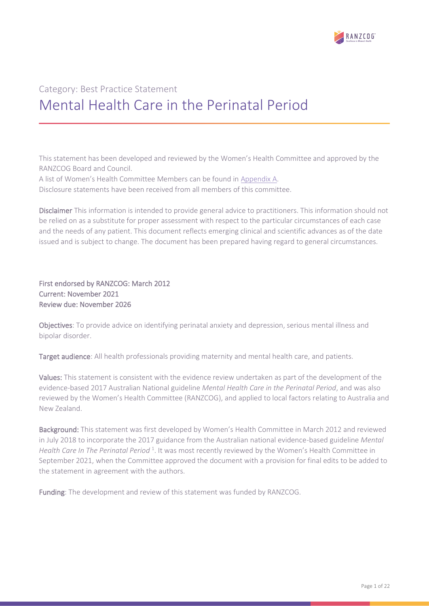

# Category: Best Practice Statement Mental Health Care in the Perinatal Period

This statement has been developed and reviewed by the Women's Health Committee and approved by the RANZCOG Board and Council.

A list of Women's Health Committee Members can be found in Appendix A. Disclosure statements have been received from all members of this committee.

Disclaimer This information is intended to provide general advice to practitioners. This information should not be relied on as a substitute for proper assessment with respect to the particular circumstances of each case and the needs of any patient. This document reflects emerging clinical and scientific advances as of the date issued and is subject to change. The document has been prepared having regard to general circumstances.

First endorsed by RANZCOG: March 2012 Current: November 2021 Review due: November 2026

Objectives: To provide advice on identifying perinatal anxiety and depression, serious mental illness and bipolar disorder.

Target audience: All health professionals providing maternity and mental health care, and patients.

Values: This statement is consistent with the evidence review undertaken as part of the development of the evidence-based 2017 Australian National guideline *Mental Health Care in the Perinatal Period*, and was also reviewed by the Women's Health Committee (RANZCOG), and applied to local factors relating to Australia and New Zealand.

Background: This statement was first developed by Women's Health Committee in March 2012 and reviewed in July 2018 to incorporate the 2017 guidance from the Australian national evidence-based guideline *Mental*  Health Care In The Perinatal Period<sup>[1](#page-10-0)</sup>. It was most recently reviewed by the Women's Health Committee in September 2021, when the Committee approved the document with a provision for final edits to be added to the statement in agreement with the authors.

Funding: The development and review of this statement was funded by RANZCOG.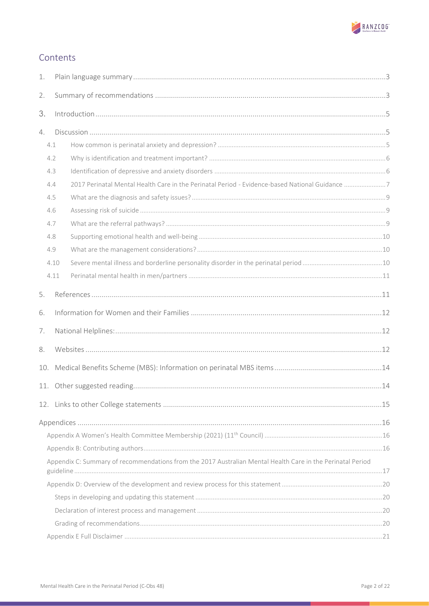

# Contents

| 1.                                                                                                         |      |                                                                                                |  |  |
|------------------------------------------------------------------------------------------------------------|------|------------------------------------------------------------------------------------------------|--|--|
| 2.                                                                                                         |      |                                                                                                |  |  |
| 3.                                                                                                         |      |                                                                                                |  |  |
| 4.                                                                                                         |      |                                                                                                |  |  |
|                                                                                                            | 4.1  |                                                                                                |  |  |
|                                                                                                            | 4.2  |                                                                                                |  |  |
|                                                                                                            | 4.3  |                                                                                                |  |  |
|                                                                                                            | 4.4  | 2017 Perinatal Mental Health Care in the Perinatal Period - Evidence-based National Guidance 7 |  |  |
|                                                                                                            | 4.5  |                                                                                                |  |  |
|                                                                                                            | 4.6  |                                                                                                |  |  |
|                                                                                                            | 4.7  |                                                                                                |  |  |
|                                                                                                            | 4.8  |                                                                                                |  |  |
|                                                                                                            | 4.9  |                                                                                                |  |  |
|                                                                                                            | 4.10 |                                                                                                |  |  |
|                                                                                                            | 4.11 |                                                                                                |  |  |
| 5.                                                                                                         |      |                                                                                                |  |  |
| 6.                                                                                                         |      |                                                                                                |  |  |
| 7.                                                                                                         |      |                                                                                                |  |  |
| 8.                                                                                                         |      |                                                                                                |  |  |
| 10.                                                                                                        |      |                                                                                                |  |  |
|                                                                                                            |      |                                                                                                |  |  |
|                                                                                                            |      |                                                                                                |  |  |
|                                                                                                            |      |                                                                                                |  |  |
|                                                                                                            |      |                                                                                                |  |  |
|                                                                                                            |      |                                                                                                |  |  |
| Appendix C: Summary of recommendations from the 2017 Australian Mental Health Care in the Perinatal Period |      |                                                                                                |  |  |
|                                                                                                            |      |                                                                                                |  |  |
|                                                                                                            |      |                                                                                                |  |  |
|                                                                                                            |      |                                                                                                |  |  |
|                                                                                                            |      |                                                                                                |  |  |
|                                                                                                            |      |                                                                                                |  |  |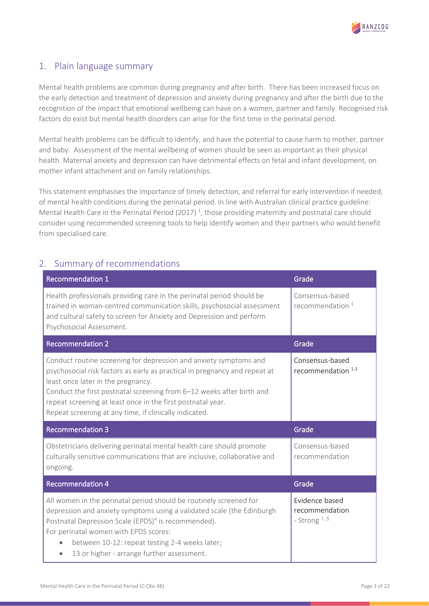

# <span id="page-2-0"></span>1. Plain language summary

Mental health problems are common during pregnancy and after birth. There has been increased focus on the early detection and treatment of depression and anxiety during pregnancy and after the birth due to the recognition of the impact that emotional wellbeing can have on a women, partner and family. Recognised risk factors do exist but mental health disorders can arise for the first time in the perinatal period.

Mental health problems can be difficult to identify, and have the potential to cause harm to mother, partner and baby. Assessment of the mental wellbeing of women should be seen as important as their physical health. Maternal anxiety and depression can have detrimental effects on fetal and infant development, on mother infant attachment and on family relationships.

This statement emphasises the importance of timely detection, and referral for early intervention if needed, of mental health conditions during the perinatal period. In line with Australian clinical practice guideline: Mental Health Care in the Perinatal Period (2017)<sup>1</sup>[,](#page-10-0) those providing maternity and postnatal care should consider using recommended screening tools to help identify women and their partners who would benefit from specialised care.

### <span id="page-2-1"></span>2. Summary of recommendations

| <b>Recommendation 1</b>                                                                                                                                                                                                                                                                                                                                                                 | Grade                                          |
|-----------------------------------------------------------------------------------------------------------------------------------------------------------------------------------------------------------------------------------------------------------------------------------------------------------------------------------------------------------------------------------------|------------------------------------------------|
| Health professionals providing care in the perinatal period should be<br>trained in woman-centred communication skills, psychosocial assessment<br>and cultural safety to screen for Anxiety and Depression and perform<br>Psychosocial Assessment.                                                                                                                                     | Consensus-based<br>recommendation <sup>1</sup> |
| <b>Recommendation 2</b>                                                                                                                                                                                                                                                                                                                                                                 | Grade                                          |
| Conduct routine screening for depression and anxiety symptoms and<br>psychosocial risk factors as early as practical in pregnancy and repeat at<br>least once later in the pregnancy.<br>Conduct the first postnatal screening from 6-12 weeks after birth and<br>repeat screening at least once in the first postnatal year.<br>Repeat screening at any time, if clinically indicated. | Consensus-based<br>recommendation $1-3$        |
|                                                                                                                                                                                                                                                                                                                                                                                         |                                                |
| <b>Recommendation 3</b>                                                                                                                                                                                                                                                                                                                                                                 | Grade                                          |
| Obstetricians delivering perinatal mental health care should promote<br>culturally sensitive communications that are inclusive, collaborative and<br>ongoing.                                                                                                                                                                                                                           | Consensus-based<br>recommendation              |
| <b>Recommendation 4</b>                                                                                                                                                                                                                                                                                                                                                                 | Grade                                          |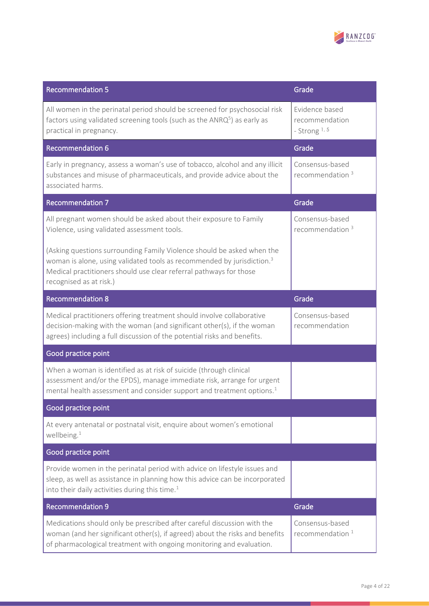

| <b>Recommendation 5</b>                                                                                                                                                                                                                                       | Grade                                               |  |  |
|---------------------------------------------------------------------------------------------------------------------------------------------------------------------------------------------------------------------------------------------------------------|-----------------------------------------------------|--|--|
| All women in the perinatal period should be screened for psychosocial risk<br>factors using validated screening tools (such as the $ANRQ5$ ) as early as<br>practical in pregnancy.                                                                           | Evidence based<br>recommendation<br>- Strong $1, 5$ |  |  |
| <b>Recommendation 6</b>                                                                                                                                                                                                                                       | Grade                                               |  |  |
| Early in pregnancy, assess a woman's use of tobacco, alcohol and any illicit<br>substances and misuse of pharmaceuticals, and provide advice about the<br>associated harms.                                                                                   | Consensus-based<br>recommendation <sup>3</sup>      |  |  |
| <b>Recommendation 7</b>                                                                                                                                                                                                                                       | Grade                                               |  |  |
| All pregnant women should be asked about their exposure to Family<br>Violence, using validated assessment tools.                                                                                                                                              | Consensus-based<br>recommendation <sup>3</sup>      |  |  |
| (Asking questions surrounding Family Violence should be asked when the<br>woman is alone, using validated tools as recommended by jurisdiction. <sup>3</sup><br>Medical practitioners should use clear referral pathways for those<br>recognised as at risk.) |                                                     |  |  |
| <b>Recommendation 8</b>                                                                                                                                                                                                                                       | Grade                                               |  |  |
| Medical practitioners offering treatment should involve collaborative<br>decision-making with the woman (and significant other(s), if the woman<br>agrees) including a full discussion of the potential risks and benefits.                                   | Consensus-based<br>recommendation                   |  |  |
| Good practice point                                                                                                                                                                                                                                           |                                                     |  |  |
| When a woman is identified as at risk of suicide (through clinical<br>assessment and/or the EPDS), manage immediate risk, arrange for urgent<br>mental health assessment and consider support and treatment options. <sup>1</sup>                             |                                                     |  |  |
| Good practice point                                                                                                                                                                                                                                           |                                                     |  |  |
| At every antenatal or postnatal visit, enquire about women's emotional<br>wellbeing. $1$                                                                                                                                                                      |                                                     |  |  |
| Good practice point                                                                                                                                                                                                                                           |                                                     |  |  |
| Provide women in the perinatal period with advice on lifestyle issues and<br>sleep, as well as assistance in planning how this advice can be incorporated<br>into their daily activities during this time. <sup>1</sup>                                       |                                                     |  |  |
| <b>Recommendation 9</b>                                                                                                                                                                                                                                       | Grade                                               |  |  |
| Medications should only be prescribed after careful discussion with the<br>woman (and her significant other(s), if agreed) about the risks and benefits<br>of pharmacological treatment with ongoing monitoring and evaluation.                               | Consensus-based<br>recommendation $1$               |  |  |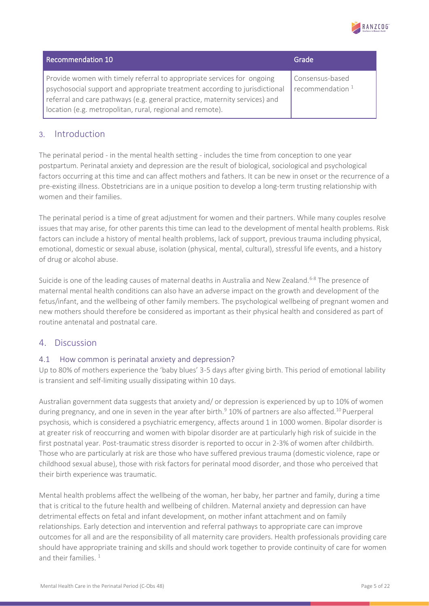

| Recommendation 10                                                                                                                                                                                                                                                                               | Grade                                 |
|-------------------------------------------------------------------------------------------------------------------------------------------------------------------------------------------------------------------------------------------------------------------------------------------------|---------------------------------------|
| Provide women with timely referral to appropriate services for ongoing<br>psychosocial support and appropriate treatment according to jurisdictional<br>referral and care pathways (e.g. general practice, maternity services) and<br>location (e.g. metropolitan, rural, regional and remote). | Consensus-based<br>recommendation $1$ |

### <span id="page-4-0"></span>3. Introduction

The perinatal period - in the mental health setting - includes the time from conception to one year postpartum. Perinatal anxiety and depression are the result of biological, sociological and psychological factors occurring at this time and can affect mothers and fathers. It can be new in onset or the recurrence of a pre-existing illness. Obstetricians are in a unique position to develop a long-term trusting relationship with women and their families.

The perinatal period is a time of great adjustment for women and their partners. While many couples resolve issues that may arise, for other parents this time can lead to the development of mental health problems. Risk factors can include a history of mental health problems, lack of support, previous trauma including physical, emotional, domestic or sexual abuse, isolation (physical, mental, cultural), stressful life events, and a history of drug or alcohol abuse.

Suicide is one of the leading causes of maternal deaths in Australia and New Zealand.<sup>[6-8](#page-10-6)</sup> The presence of maternal mental health conditions can also have an adverse impact on the growth and development of the fetus/infant, and the wellbeing of other family members. The psychological wellbeing of pregnant women and new mothers should therefore be considered as important as their physical health and considered as part of routine antenatal and postnatal care.

### <span id="page-4-1"></span>4. Discussion

#### <span id="page-4-2"></span>4.1 How common is perinatal anxiety and depression?

Up to 80% of mothers experience the 'baby blues' 3-5 days after giving birth. This period of emotional lability is transient and self-limiting usually dissipating within 10 days.

Australian government data suggests that anxiety and/ or depression is experienced by up to 10% of women during pregnancy, and one in seven in the year after birth.<sup>[9](#page-10-7)</sup> [10](#page-10-8)% of partners are also affected.<sup>10</sup> Puerperal psychosis, which is considered a psychiatric emergency, affects around 1 in 1000 women. Bipolar disorder is at greater risk of reoccurring and women with bipolar disorder are at particularly high risk of suicide in the first postnatal year. Post-traumatic stress disorder is reported to occur in 2-3% of women after childbirth. Those who are particularly at risk are those who have suffered previous trauma (domestic violence, rape or childhood sexual abuse), those with risk factors for perinatal mood disorder, and those who perceived that their birth experience was traumatic.

Mental health problems affect the wellbeing of the woman, her baby, her partner and family, during a time that is critical to the future health and wellbeing of children. Maternal anxiety and depression can have detrimental effects on fetal and infant development, on mother infant attachment and on family relationships. Early detection and intervention and referral pathways to appropriate care can improve outcomes for all and are the responsibility of all maternity care providers. Health professionals providing care should have appropriate training and skills and should work together to provide continuity of care for women and their families.<sup>[1](#page-10-0)</sup>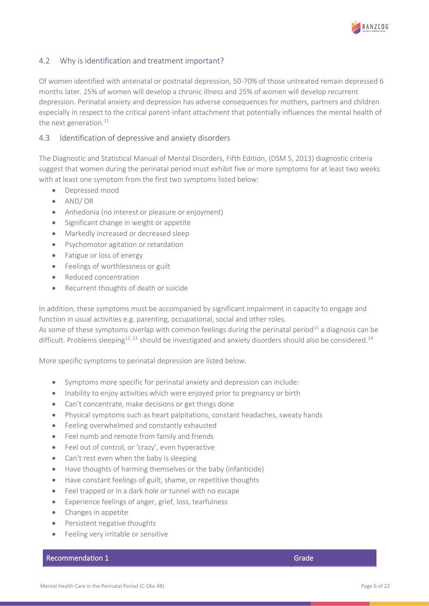

#### <span id="page-5-0"></span>4.2 Why is identification and treatment important?

Of women identified with antenatal or postnatal depression, 50-70% of those untreated remain depressed 6 months later. 25% of women will develop a chronic illness and 25% of women will develop recurrent depression. Perinatal anxiety and depression has adverse consequences for mothers, partners and children especially in respect to the critical parent-infant attachment that potentially influences the mental health of the next generation.<sup>[11](#page-10-9)</sup>

#### <span id="page-5-1"></span>4.3 Identification of depressive and anxiety disorders

The Diagnostic and Statistical Manual of Mental Disorders, Fifth Edition, (DSM 5, 2013) diagnostic criteria suggest that women during the perinatal period must exhibit five or more symptoms for at least two weeks with at least one symptom from the first two symptoms listed below:

- Depressed mood
- AND/ OR
- Anhedonia (no interest or pleasure or enjoyment)
- Significant change in weight or appetite
- Markedly increased or decreased sleep
- Psychomotor agitation or retardation
- Fatigue or loss of energy
- Feelings of worthlessness or guilt
- Reduced concentration
- Recurrent thoughts of death or suicide

In addition, these symptoms must be accompanied by significant impairment in capacity to engage and function in usual activities e.g. parenting, occupational, social and other roles.

As some of these symptoms overlap with common feelings during the perinatal period<sup>[11](#page-10-9)</sup> a diagnosis can be difficult. Problems sleeping<sup>[12,](#page-10-10) 13</sup> should be investigated and anxiety disorders should also be considered.<sup>[14](#page-10-12)</sup>

More specific symptoms to perinatal depression are listed below.

- Symptoms more specific for perinatal anxiety and depression can include:
- Inability to enjoy activities which were enjoyed prior to pregnancy or birth
- Can't concentrate, make decisions or get things done
- Physical symptoms such as heart palpitations, constant headaches, sweaty hands
- Feeling overwhelmed and constantly exhausted
- Feel numb and remote from family and friends
- Feel out of control, or 'crazy', even hyperactive
- Can't rest even when the baby is sleeping
- Have thoughts of harming themselves or the baby (infanticide)
- Have constant feelings of guilt, shame, or repetitive thoughts
- Feel trapped or in a dark hole or tunnel with no escape
- Experience feelings of anger, grief, loss, tearfulness
- Changes in appetite
- Persistent negative thoughts
- Feeling very irritable or sensitive

#### Recommendation 1 Grade Recommendation 1 Grade Recommendation 1 Grade Recommendation 1 Grade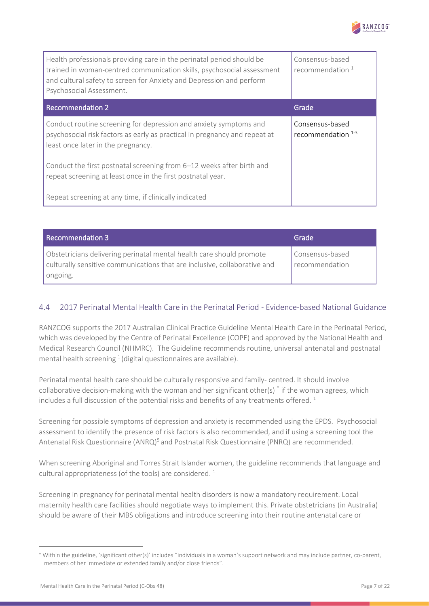

| Health professionals providing care in the perinatal period should be<br>trained in woman-centred communication skills, psychosocial assessment<br>and cultural safety to screen for Anxiety and Depression and perform<br>Psychosocial Assessment. | Consensus-based<br>recommendation $1$   |
|-----------------------------------------------------------------------------------------------------------------------------------------------------------------------------------------------------------------------------------------------------|-----------------------------------------|
| <b>Recommendation 2</b>                                                                                                                                                                                                                             | Grade                                   |
| Conduct routine screening for depression and anxiety symptoms and<br>psychosocial risk factors as early as practical in pregnancy and repeat at<br>least once later in the pregnancy.                                                               | Consensus-based<br>recommendation $1-3$ |
| Conduct the first postnatal screening from 6-12 weeks after birth and<br>repeat screening at least once in the first postnatal year.                                                                                                                |                                         |
| Repeat screening at any time, if clinically indicated                                                                                                                                                                                               |                                         |

| <b>Recommendation 3</b>                                                                                                                                       | Grade                               |
|---------------------------------------------------------------------------------------------------------------------------------------------------------------|-------------------------------------|
| Obstetricians delivering perinatal mental health care should promote<br>culturally sensitive communications that are inclusive, collaborative and<br>ongoing. | Consensus-based<br>I recommendation |

### <span id="page-6-0"></span>4.4 2017 Perinatal Mental Health Care in the Perinatal Period - Evidence-based National Guidance

RANZCOG supports the 2017 Australian Clinical Practice Guideline Mental Health Care in the Perinatal Period, which was developed by the Centre of Perinatal Excellence (COPE) and approved by the National Health and Medical Research Council (NHMRC). The Guideline recommends routine, universal antenatal and postnatal mentalhealth screening  $^1$  (digital questionnaires are available).

Perinatal mental health care should be culturally responsive and family- centred. It should involve collaborative decision-making with the woman and her significant other(s) \* if the woman agrees, which includes a full discussion of the potential risks and benefits of any treatments offered.<sup>[1](#page-10-0)</sup>

Screening for possible symptoms of depression and anxiety is recommended using the EPDS. Psychosocial assessment to identify the presence of risk factors is also recommended, and if using a screening tool the Antenatal Risk Questionnaire (ANRQ)<sup>[5](#page-10-4)</sup> and Postnatal Risk Questionnaire (PNRQ) are recommended.

When screening Aboriginal and Torres Strait Islander women, the guideline recommends that language and cultural appropriateness (of the tools) are considered.  $^{1}$  $^{1}$  $^{1}$ 

Screening in pregnancy for perinatal mental health disorders is now a mandatory requirement. Local maternity health care facilities should negotiate ways to implement this. Private obstetricians (in Australia) should be aware of their MBS obligations and introduce screening into their routine antenatal care or

Within the guideline, 'significant other(s)' includes "individuals in a woman's support network and may include partner, co-parent, members of her immediate or extended family and/or close friends".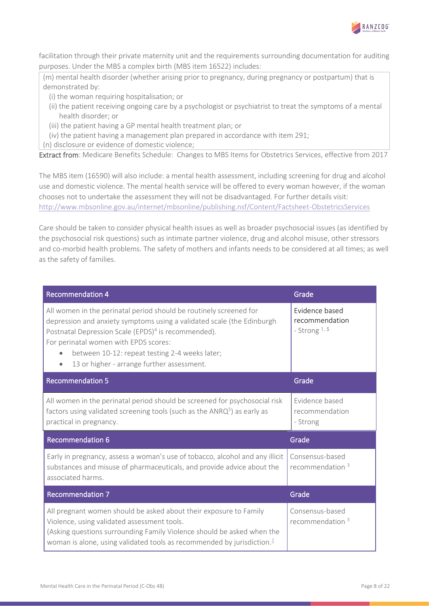

facilitation through their private maternity unit and the requirements surrounding documentation for auditing purposes. Under the MBS a complex birth (MBS item 16522) includes:

(m) mental health disorder (whether arising prior to pregnancy, during pregnancy or postpartum) that is demonstrated by:

(i) the woman requiring hospitalisation; or

- (ii) the patient receiving ongoing care by a psychologist or psychiatrist to treat the symptoms of a mental health disorder; or
- (iii) the patient having a GP mental health treatment plan; or
- (iv) the patient having a management plan prepared in accordance with item 291;

(n) disclosure or evidence of domestic violence;

Extract from: Medicare Benefits Schedule: Changes to MBS Items for Obstetrics Services, effective from 2017

The MBS item (16590) will also include: a mental health assessment, including screening for drug and alcohol use and domestic violence. The mental health service will be offered to every woman however, if the woman chooses not to undertake the assessment they will not be disadvantaged. For further details visit: <http://www.mbsonline.gov.au/internet/mbsonline/publishing.nsf/Content/Factsheet-ObstetricsServices>

Care should be taken to consider physical health issues as well as broader psychosocial issues (as identified by the psychosocial risk questions) such as intimate partner violence, drug and alcohol misuse, other stressors and co-morbid health problems. The safety of mothers and infants needs to be considered at all times; as well as the safety of families.

| <b>Recommendation 4</b>                                                                                                                                                                                                                                                                                                                                  | Grade                                               |
|----------------------------------------------------------------------------------------------------------------------------------------------------------------------------------------------------------------------------------------------------------------------------------------------------------------------------------------------------------|-----------------------------------------------------|
| All women in the perinatal period should be routinely screened for<br>depression and anxiety symptoms using a validated scale (the Edinburgh<br>Postnatal Depression Scale (EPDS) <sup>4</sup> is recommended).<br>For perinatal women with EPDS scores:<br>between 10-12: repeat testing 2-4 weeks later;<br>13 or higher - arrange further assessment. | Evidence based<br>recommendation<br>- Strong $1, 5$ |
| <b>Recommendation 5</b>                                                                                                                                                                                                                                                                                                                                  | Grade                                               |
| All women in the perinatal period should be screened for psychosocial risk<br>factors using validated screening tools (such as the $ANRQ5$ ) as early as<br>practical in pregnancy.                                                                                                                                                                      | Evidence based<br>recommendation<br>- Strong        |
| <b>Recommendation 6</b>                                                                                                                                                                                                                                                                                                                                  | Grade                                               |
| Early in pregnancy, assess a woman's use of tobacco, alcohol and any illicit<br>substances and misuse of pharmaceuticals, and provide advice about the<br>associated harms.                                                                                                                                                                              | Consensus-based<br>recommendation $3$               |
| <b>Recommendation 7</b>                                                                                                                                                                                                                                                                                                                                  | Grade                                               |
| All pregnant women should be asked about their exposure to Family<br>Violence, using validated assessment tools.<br>(Asking questions surrounding Family Violence should be asked when the<br>woman is alone, using validated tools as recommended by jurisdiction. <sup>3</sup>                                                                         | Consensus-based<br>recommendation <sup>3</sup>      |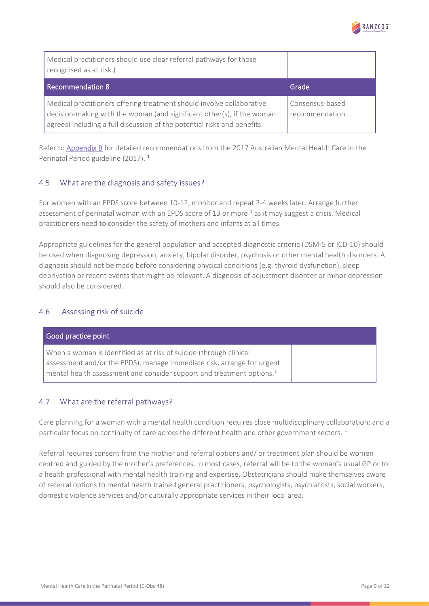

| Medical practitioners should use clear referral pathways for those<br>recognised as at risk.)                                                                                                                                       |                                   |
|-------------------------------------------------------------------------------------------------------------------------------------------------------------------------------------------------------------------------------------|-----------------------------------|
| Recommendation 8                                                                                                                                                                                                                    | Grade                             |
| Medical practitioners offering treatment should involve collaborative<br>$\vert$ decision-making with the woman (and significant other(s), if the woman<br>agrees) including a full discussion of the potential risks and benefits. | Consensus-based<br>recommendation |

Refer to [Appendix B](#page-16-0) for detailed recommendations from the 2017 Australian Mental Health Care in the Perinatal Period guideline (2017). [1](#page-10-0)

#### <span id="page-8-0"></span>4.5 What are the diagnosis and safety issues?

For women with an EPDS score between 10-12, monitor and repeat 2-4 weeks later. Arrange further assessment of perinatal woman with an EPDS score of [1](#page-10-0)3 or more  $^1$  as it may suggest a crisis. Medical practitioners need to consider the safety of mothers and infants at all times.

Appropriate guidelines for the general population and accepted diagnostic criteria (DSM-5 or ICD-10) should be used when diagnosing depression, anxiety, bipolar disorder, psychosis or other mental health disorders. A diagnosis should not be made before considering physical conditions (e.g. thyroid dysfunction), sleep deprivation or recent events that might be relevant. A diagnosis of adjustment disorder or minor depression should also be considered.

#### <span id="page-8-1"></span>4.6 Assessing risk of suicide

| Good practice point                                                                                                                                                                                                               |  |
|-----------------------------------------------------------------------------------------------------------------------------------------------------------------------------------------------------------------------------------|--|
| When a woman is identified as at risk of suicide (through clinical<br>assessment and/or the EPDS), manage immediate risk, arrange for urgent<br>mental health assessment and consider support and treatment options. <sup>1</sup> |  |

#### <span id="page-8-2"></span>4.7 What are the referral pathways?

Care planning for a woman with a mental health condition requires close multidisciplinary collaboration; and a particular focus on continuity of care across the different health and other government sectors.<sup>[1](#page-10-0)</sup>

Referral requires consent from the mother and referral options and/ or treatment plan should be women centred and guided by the mother's preferences. In most cases, referral will be to the woman's usual GP or to a health professional with mental health training and expertise. Obstetricians should make themselves aware of referral options to mental health trained general practitioners, psychologists, psychiatrists, social workers, domestic violence services and/or culturally appropriate services in their local area.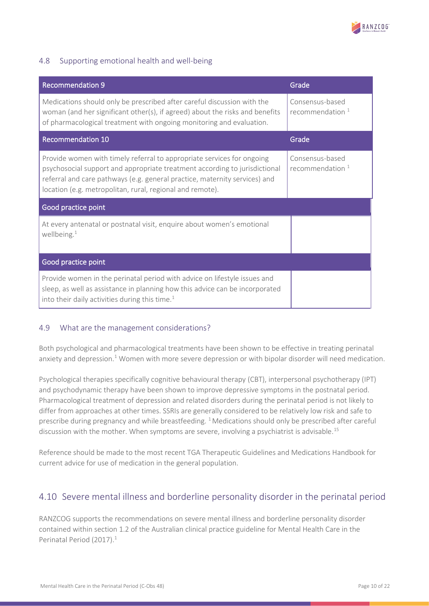

### <span id="page-9-0"></span>4.8 Supporting emotional health and well-being

| <b>Recommendation 9</b>                                                                                                                                                                                                                                                                         | Grade                                 |  |  |
|-------------------------------------------------------------------------------------------------------------------------------------------------------------------------------------------------------------------------------------------------------------------------------------------------|---------------------------------------|--|--|
| Medications should only be prescribed after careful discussion with the<br>woman (and her significant other(s), if agreed) about the risks and benefits<br>of pharmacological treatment with ongoing monitoring and evaluation.                                                                 | Consensus-based<br>recommendation $1$ |  |  |
| <b>Recommendation 10</b>                                                                                                                                                                                                                                                                        | Grade                                 |  |  |
| Provide women with timely referral to appropriate services for ongoing<br>psychosocial support and appropriate treatment according to jurisdictional<br>referral and care pathways (e.g. general practice, maternity services) and<br>location (e.g. metropolitan, rural, regional and remote). | Consensus-based<br>recommendation $1$ |  |  |
| Good practice point                                                                                                                                                                                                                                                                             |                                       |  |  |
| At every antenatal or postnatal visit, enquire about women's emotional<br>wellbeing. $1$                                                                                                                                                                                                        |                                       |  |  |
| Good practice point                                                                                                                                                                                                                                                                             |                                       |  |  |
| Provide women in the perinatal period with advice on lifestyle issues and<br>sleep, as well as assistance in planning how this advice can be incorporated<br>into their daily activities during this time. <sup>1</sup>                                                                         |                                       |  |  |

#### <span id="page-9-1"></span>4.9 What are the management considerations?

Both psychological and pharmacological treatments have been shown to be effective in treating perinatal anxiety and depression.<sup>1</sup> Women with more severe depression or with bipolar disorder will need medication.

Psychological therapies specifically cognitive behavioural therapy (CBT), interpersonal psychotherapy (IPT) and psychodynamic therapy have been shown to improve depressive symptoms in the postnatal period. Pharmacological treatment of depression and related disorders during the perinatal period is not likely to differ from approaches at other times. SSRIs are generally considered to be relatively low risk and safe to prescribe during pregnancy and while breastfeeding. <sup>[1](#page-10-0)</sup> Medications should only be prescribed after careful discussion with the mother. When symptoms are severe, involving a psychiatrist is advisable.<sup>[15](#page-10-13)</sup>

Reference should be made to the most recent TGA Therapeutic Guidelines and Medications Handbook for current advice for use of medication in the general population.

# <span id="page-9-2"></span>4.10 Severe mental illness and borderline personality disorder in the perinatal period

RANZCOG supports the recommendations on severe mental illness and borderline personality disorder contained within section 1.2 of the Australian clinical practice guideline for Mental Health Care in the Perinatal Period (2017[\).](#page-10-0)<sup>1</sup>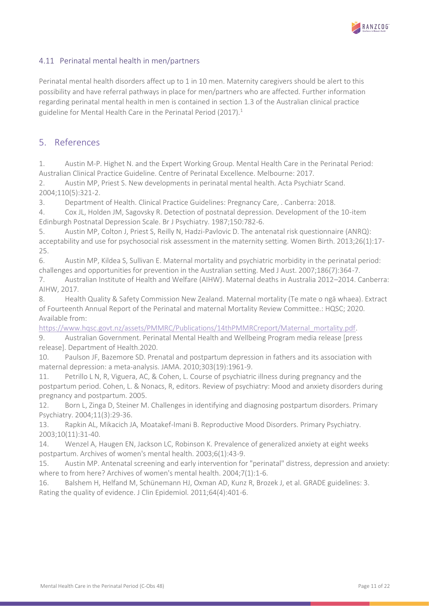

#### <span id="page-10-1"></span>4.11 Perinatal mental health in men/partners

Perinatal mental health disorders affect up to 1 in 10 men. Maternity caregivers should be alert to this possibility and have referral pathways in place for men/partners who are affected. Further information regarding perinatal mental health in men is contained in section 1.3 of the Australian clinical practice guideline for Mental Health Care in the Perinatal Period (2017)[.](#page-10-0)<sup>1</sup>

### <span id="page-10-2"></span>5. References

<span id="page-10-0"></span>1. Austin M-P. Highet N. and the Expert Working Group. Mental Health Care in the Perinatal Period: Australian Clinical Practice Guideline. Centre of Perinatal Excellence. Melbourne: 2017.

2. Austin MP, Priest S. New developments in perinatal mental health. Acta Psychiatr Scand. 2004;110(5):321-2.

<span id="page-10-5"></span>3. Department of Health. Clinical Practice Guidelines: Pregnancy Care, . Canberra: 2018.

<span id="page-10-3"></span>4. Cox JL, Holden JM, Sagovsky R. Detection of postnatal depression. Development of the 10-item Edinburgh Postnatal Depression Scale. Br J Psychiatry. 1987;150:782-6.

<span id="page-10-4"></span>5. Austin MP, Colton J, Priest S, Reilly N, Hadzi-Pavlovic D. The antenatal risk questionnaire (ANRQ): acceptability and use for psychosocial risk assessment in the maternity setting. Women Birth. 2013;26(1):17- 25.

<span id="page-10-6"></span>6. Austin MP, Kildea S, Sullivan E. Maternal mortality and psychiatric morbidity in the perinatal period: challenges and opportunities for prevention in the Australian setting. Med J Aust. 2007;186(7):364-7.

7. Australian Institute of Health and Welfare (AIHW). Maternal deaths in Australia 2012–2014. Canberra: AIHW, 2017.

8. Health Quality & Safety Commission New Zealand. Maternal mortality (Te mate o ngā whaea). Extract of Fourteenth Annual Report of the Perinatal and maternal Mortality Review Committee.: HQSC; 2020. Available from:

[https://www.hqsc.govt.nz/assets/PMMRC/Publications/14thPMMRCreport/Maternal\\_mortality.pdf.](https://www.hqsc.govt.nz/assets/PMMRC/Publications/14thPMMRCreport/Maternal_mortality.pdf)

<span id="page-10-7"></span>9. Australian Government. Perinatal Mental Health and Wellbeing Program media release [press release]. Department of Health.2020.

<span id="page-10-8"></span>10. Paulson JF, Bazemore SD. Prenatal and postpartum depression in fathers and its association with maternal depression: a meta-analysis. JAMA. 2010;303(19):1961-9.

<span id="page-10-9"></span>11. Petrillo L N, R, Viguera, AC, & Cohen, L. Course of psychiatric illness during pregnancy and the postpartum period. Cohen, L. & Nonacs, R, editors. Review of psychiatry: Mood and anxiety disorders during pregnancy and postpartum. 2005.

<span id="page-10-10"></span>12. Born L, Zinga D, Steiner M. Challenges in identifying and diagnosing postpartum disorders. Primary Psychiatry. 2004;11(3):29-36.

<span id="page-10-11"></span>13. Rapkin AL, Mikacich JA, Moatakef-Imani B. Reproductive Mood Disorders. Primary Psychiatry. 2003;10(11):31-40.

<span id="page-10-12"></span>14. Wenzel A, Haugen EN, Jackson LC, Robinson K. Prevalence of generalized anxiety at eight weeks postpartum. Archives of women's mental health. 2003;6(1):43-9.

<span id="page-10-13"></span>15. Austin MP. Antenatal screening and early intervention for "perinatal" distress, depression and anxiety: where to from here? Archives of women's mental health. 2004;7(1):1-6.

<span id="page-10-14"></span>16. Balshem H, Helfand M, Schünemann HJ, Oxman AD, Kunz R, Brozek J, et al. GRADE guidelines: 3. Rating the quality of evidence. J Clin Epidemiol. 2011;64(4):401-6.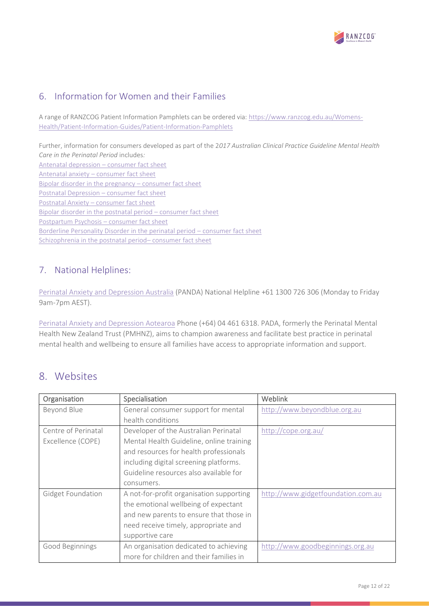

# <span id="page-11-0"></span>6. Information for Women and their Families

A range of RANZCOG Patient Information Pamphlets can be ordered via: [https://www.ranzcog.edu.au/Womens-](https://www.ranzcog.edu.au/Womens-Health/Patient-Information-Guides/Patient-Information-Pamphlets)[Health/Patient-Information-Guides/Patient-Information-Pamphlets](https://www.ranzcog.edu.au/Womens-Health/Patient-Information-Guides/Patient-Information-Pamphlets)

Further, information for consumers developed as part of the 2*017 Australian Clinical Practice Guideline Mental Health Care in the Perinatal Period* includes*:* [Antenatal depression](http://cope.org.au/wp-content/uploads/2017/11/Antenatal-Anxiety_Consumer-Fact-Sheet.pdf) – consumer fact sheet Antenatal anxiety – [consumer fact sheet](http://cope.org.au/wp-content/uploads/2017/11/Antenatal-Anxiety_Consumer-Fact-Sheet.pdf) [Bipolar disorder in the pregnancy](http://cope.org.au/wp-content/uploads/2017/11/Bipolar-Disorder-in-Pregnancy_Consumer-Fact-Sheet.pdf) – consumer fact sheet [Postnatal Depression](http://cope.org.au/wp-content/uploads/2017/11/Postnatal-Depression_Consumer-Fact-Sheet.pdf) – consumer fact sheet Postnatal Anxiety – [consumer fact sheet](http://cope.org.au/wp-content/uploads/2017/11/Postnatal-Anxiety_Consumer-fact-Sheet.pdf) [Bipolar disorder in the postnatal period](http://cope.org.au/wp-content/uploads/2017/11/Bipolar-Disorder-in-Postnatal-Period_Consumer-Fact-Sheet.pdf) – consumer fact sheet [Postpartum Psychosis](http://cope.org.au/wp-content/uploads/2017/11/Postpartum-Psychosis_Consumer-Fact-Sheet.pdf) – consumer fact sheet [Borderline Personality Disorder in the perinatal period](http://cope.org.au/wp-content/uploads/2017/11/BPD-in-Perinatal-Period_Consumer-Fact-Sheet.pdf) – consumer fact sheet [Schizophrenia in the postnatal period](http://cope.org.au/wp-content/uploads/2017/11/Schizophrenia-in-Postnatal-Period_Consumer-Fact-Sheet.pdf)– consumer fact sheet

# <span id="page-11-1"></span>7. National Helplines:

[Perinatal Anxiety and Depression Australia](https://www.panda.org.au/) (PANDA) National Helpline +61 1300 726 306 (Monday to Friday 9am-7pm AEST).

[Perinatal Anxiety and Depression Aotearoa](http://www.pada.nz/) Phone (+64) 04 461 6318. PADA, formerly the Perinatal Mental Health New Zealand Trust (PMHNZ), aims to champion awareness and facilitate best practice in perinatal mental health and wellbeing to ensure all families have access to appropriate information and support.

# <span id="page-11-2"></span>8. Websites

| Organisation             | Specialisation                           | <b>Weblink</b>                     |
|--------------------------|------------------------------------------|------------------------------------|
| Beyond Blue              | General consumer support for mental      | http://www.beyondblue.org.au       |
|                          | health conditions                        |                                    |
| Centre of Perinatal      | Developer of the Australian Perinatal    | http://cope.org.au/                |
| Excellence (COPE)        | Mental Health Guideline, online training |                                    |
|                          | and resources for health professionals   |                                    |
|                          | including digital screening platforms.   |                                    |
|                          | Guideline resources also available for   |                                    |
|                          | consumers.                               |                                    |
| <b>Gidget Foundation</b> | A not-for-profit organisation supporting | http://www.gidgetfoundation.com.au |
|                          | the emotional wellbeing of expectant     |                                    |
|                          | and new parents to ensure that those in  |                                    |
|                          | need receive timely, appropriate and     |                                    |
|                          | supportive care                          |                                    |
| Good Beginnings          | An organisation dedicated to achieving   | http://www.goodbeginnings.org.au   |
|                          | more for children and their families in  |                                    |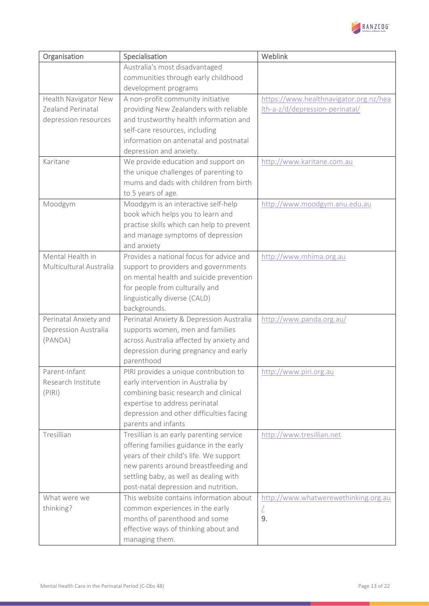

| Organisation            | Specialisation                                                                  | Weblink                                |
|-------------------------|---------------------------------------------------------------------------------|----------------------------------------|
|                         | Australia's most disadvantaged                                                  |                                        |
|                         | communities through early childhood                                             |                                        |
|                         | development programs                                                            |                                        |
| Health Navigator New    | A non-profit community initiative                                               | https://www.healthnavigator.org.nz/hea |
| Zealand Perinatal       | providing New Zealanders with reliable                                          | Ith-a-z/d/depression-perinatal/        |
| depression resources    | and trustworthy health information and                                          |                                        |
|                         | self-care resources, including                                                  |                                        |
|                         | information on antenatal and postnatal                                          |                                        |
|                         | depression and anxiety.                                                         |                                        |
| Karitane                | We provide education and support on                                             | http://www.karitane.com.au             |
|                         | the unique challenges of parenting to                                           |                                        |
|                         | mums and dads with children from birth                                          |                                        |
|                         | to 5 years of age.                                                              |                                        |
| Moodgym                 | Moodgym is an interactive self-help                                             | http://www.moodgym.anu.edu.au          |
|                         | book which helps you to learn and                                               |                                        |
|                         | practise skills which can help to prevent                                       |                                        |
|                         | and manage symptoms of depression                                               |                                        |
| Mental Health in        | and anxiety<br>Provides a national focus for advice and                         |                                        |
| Multicultural Australia |                                                                                 | http://www.mhima.org.au                |
|                         | support to providers and governments<br>on mental health and suicide prevention |                                        |
|                         | for people from culturally and                                                  |                                        |
|                         | linguistically diverse (CALD)                                                   |                                        |
|                         | backgrounds.                                                                    |                                        |
| Perinatal Anxiety and   | Perinatal Anxiety & Depression Australia                                        | http://www.panda.org.au/               |
| Depression Australia    | supports women, men and families                                                |                                        |
| (PANDA)                 | across Australia affected by anxiety and                                        |                                        |
|                         | depression during pregnancy and early                                           |                                        |
|                         | parenthood                                                                      |                                        |
| Parent-Infant           | PIRI provides a unique contribution to                                          | http://www.piri.org.au                 |
| Research Institute      | early intervention in Australia by                                              |                                        |
| (PIRI)                  | combining basic research and clinical                                           |                                        |
|                         | expertise to address perinatal                                                  |                                        |
|                         | depression and other difficulties facing                                        |                                        |
|                         | parents and infants                                                             |                                        |
| Tresillian              | Tresillian is an early parenting service                                        | http://www.tresillian.net              |
|                         | offering families guidance in the early                                         |                                        |
|                         | years of their child's life. We support                                         |                                        |
|                         | new parents around breastfeeding and                                            |                                        |
|                         | settling baby, as well as dealing with                                          |                                        |
|                         | post-natal depression and nutrition.                                            |                                        |
| What were we            | This website contains information about                                         | http://www.whatwerewethinking.org.au   |
| thinking?               | common experiences in the early                                                 | L                                      |
|                         | months of parenthood and some                                                   | 9.                                     |
|                         | effective ways of thinking about and                                            |                                        |
|                         | managing them.                                                                  |                                        |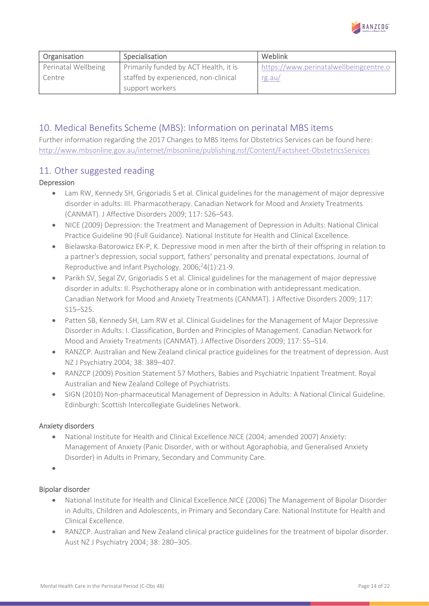

| Organisation        | Specialisation                        | Weblink                                |
|---------------------|---------------------------------------|----------------------------------------|
| Perinatal Wellbeing | Primarily funded by ACT Health, it is | https://www.perinatalwellbeingcentre.o |
| Centre              | staffed by experienced, non-clinical  | rg.au/                                 |
|                     | support workers                       |                                        |

## <span id="page-13-0"></span>10. Medical Benefits Scheme (MBS): Information on perinatal MBS items

Further information regarding the 2017 Changes to MBS Items for Obstetrics Services can be found here: <http://www.mbsonline.gov.au/internet/mbsonline/publishing.nsf/Content/Factsheet-ObstetricsServices>

### <span id="page-13-1"></span>11. Other suggested reading

#### Depression

- Lam RW, Kennedy SH, Grigoriadis S et al. Clinical guidelines for the management of major depressive disorder in adults: III. Pharmacotherapy. Canadian Network for Mood and Anxiety Treatments (CANMAT). J Affective Disorders 2009; 117: S26–S43.
- NICE (2009) Depression: the Treatment and Management of Depression in Adults: National Clinical Practice Guideline 90 (Full Guidance). National Institute for Health and Clinical Excellence.
- Bielawska-Batorowicz EK-P, K. Depressive mood in men after the birth of their offspring in relation to a partner's depression, social support, fathers' personality and prenatal expectations. Journal of Reproductive and Infant Psychology.  $2006;^{2}4(1):21-9$ .
- Parikh SV, Segal ZV, Grigoriadis S et al. Clinical guidelines for the management of major depressive disorder in adults: II. Psychotherapy alone or in combination with antidepressant medication. Canadian Network for Mood and Anxiety Treatments (CANMAT). J Affective Disorders 2009; 117: S15–S25.
- Patten SB, Kennedy SH, Lam RW et al. Clinical Guidelines for the Management of Major Depressive Disorder in Adults: I. Classification, Burden and Principles of Management. Canadian Network for Mood and Anxiety Treatments (CANMAT). J Affective Disorders 2009; 117: S5–S14.
- RANZCP. Australian and New Zealand clinical practice guidelines for the treatment of depression. Aust NZ J Psychiatry 2004; 38: 389–407.
- RANZCP (2009) Position Statement 57 Mothers, Babies and Psychiatric Inpatient Treatment. Royal Australian and New Zealand College of Psychiatrists.
- SIGN (2010) Non-pharmaceutical Management of Depression in Adults: A National Clinical Guideline. Edinburgh: Scottish Intercollegiate Guidelines Network.

#### Anxiety disorders

• National Institute for Health and Clinical Excellence.NICE (2004; amended 2007) Anxiety: Management of Anxiety (Panic Disorder, with or without Agoraphobia, and Generalised Anxiety Disorder) in Adults in Primary, Secondary and Community Care.

•

#### Bipolar disorder

- National Institute for Health and Clinical Excellence.NICE (2006) The Management of Bipolar Disorder in Adults, Children and Adolescents, in Primary and Secondary Care. National Institute for Health and Clinical Excellence.
- RANZCP. Australian and New Zealand clinical practice guidelines for the treatment of bipolar disorder. Aust NZ J Psychiatry 2004; 38: 280–305.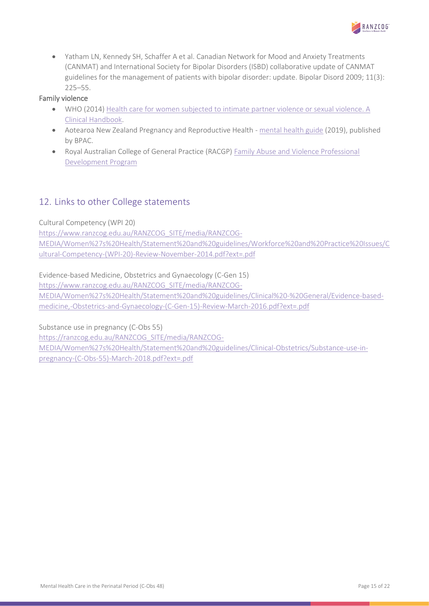

• Yatham LN, Kennedy SH, Schaffer A et al. Canadian Network for Mood and Anxiety Treatments (CANMAT) and International Society for Bipolar Disorders (ISBD) collaborative update of CANMAT guidelines for the management of patients with bipolar disorder: update. Bipolar Disord 2009; 11(3): 225–55.

#### Family violence

- WHO (2014) [Health care for women subjected to intimate partner violence or sexual violence. A](http://www.who.int/reproductivehealth/publications/violence/vaw-clinical-handbook/en/)  [Clinical Handbook.](http://www.who.int/reproductivehealth/publications/violence/vaw-clinical-handbook/en/)
- Aotearoa New Zealand Pregnancy and Reproductive Health [mental health guide](https://bpac.org.nz/2019/docs/perinatal-depression.pdf) (2019), published by BPAC.
- Royal Australian College of General Practice (RACGP) Family Abuse and Violence Professional [Development Program](https://www.racgp.org.au/familyviolence/)

# <span id="page-14-0"></span>12. Links to other College statements

#### Cultural Competency (WPI 20)

[https://www.ranzcog.edu.au/RANZCOG\\_SITE/media/RANZCOG-](https://www.ranzcog.edu.au/RANZCOG_SITE/media/RANZCOG-MEDIA/Women%27s%20Health/Statement%20and%20guidelines/Workforce%20and%20Practice%20Issues/Cultural-Competency-(WPI-20)-Review-November-2014.pdf?ext=.pdf)[MEDIA/Women%27s%20Health/Statement%20and%20guidelines/Workforce%20and%20Practice%20Issues/C](https://www.ranzcog.edu.au/RANZCOG_SITE/media/RANZCOG-MEDIA/Women%27s%20Health/Statement%20and%20guidelines/Workforce%20and%20Practice%20Issues/Cultural-Competency-(WPI-20)-Review-November-2014.pdf?ext=.pdf) [ultural-Competency-\(WPI-20\)-Review-November-2014.pdf?ext=.pdf](https://www.ranzcog.edu.au/RANZCOG_SITE/media/RANZCOG-MEDIA/Women%27s%20Health/Statement%20and%20guidelines/Workforce%20and%20Practice%20Issues/Cultural-Competency-(WPI-20)-Review-November-2014.pdf?ext=.pdf) 

Evidence-based Medicine, Obstetrics and Gynaecology (C-Gen 15)

[https://www.ranzcog.edu.au/RANZCOG\\_SITE/media/RANZCOG-](https://www.ranzcog.edu.au/RANZCOG_SITE/media/RANZCOG-MEDIA/Women%27s%20Health/Statement%20and%20guidelines/Clinical%20-%20General/Evidence-based-medicine,-Obstetrics-and-Gynaecology-(C-Gen-15)-Review-March-2016.pdf?ext=.pdf)

[MEDIA/Women%27s%20Health/Statement%20and%20guidelines/Clinical%20-%20General/Evidence-based](https://www.ranzcog.edu.au/RANZCOG_SITE/media/RANZCOG-MEDIA/Women%27s%20Health/Statement%20and%20guidelines/Clinical%20-%20General/Evidence-based-medicine,-Obstetrics-and-Gynaecology-(C-Gen-15)-Review-March-2016.pdf?ext=.pdf)[medicine,-Obstetrics-and-Gynaecology-\(C-Gen-15\)-Review-March-2016.pdf?ext=.pdf](https://www.ranzcog.edu.au/RANZCOG_SITE/media/RANZCOG-MEDIA/Women%27s%20Health/Statement%20and%20guidelines/Clinical%20-%20General/Evidence-based-medicine,-Obstetrics-and-Gynaecology-(C-Gen-15)-Review-March-2016.pdf?ext=.pdf)

Substance use in pregnancy (C-Obs 55)

[https://ranzcog.edu.au/RANZCOG\\_SITE/media/RANZCOG-](https://ranzcog.edu.au/RANZCOG_SITE/media/RANZCOG-MEDIA/Women%27s%20Health/Statement%20and%20guidelines/Clinical-Obstetrics/Substance-use-in-pregnancy-(C-Obs-55)-March-2018.pdf?ext=.pdf)

[MEDIA/Women%27s%20Health/Statement%20and%20guidelines/Clinical-Obstetrics/Substance-use-in](https://ranzcog.edu.au/RANZCOG_SITE/media/RANZCOG-MEDIA/Women%27s%20Health/Statement%20and%20guidelines/Clinical-Obstetrics/Substance-use-in-pregnancy-(C-Obs-55)-March-2018.pdf?ext=.pdf)[pregnancy-\(C-Obs-55\)-March-2018.pdf?ext=.pdf](https://ranzcog.edu.au/RANZCOG_SITE/media/RANZCOG-MEDIA/Women%27s%20Health/Statement%20and%20guidelines/Clinical-Obstetrics/Substance-use-in-pregnancy-(C-Obs-55)-March-2018.pdf?ext=.pdf)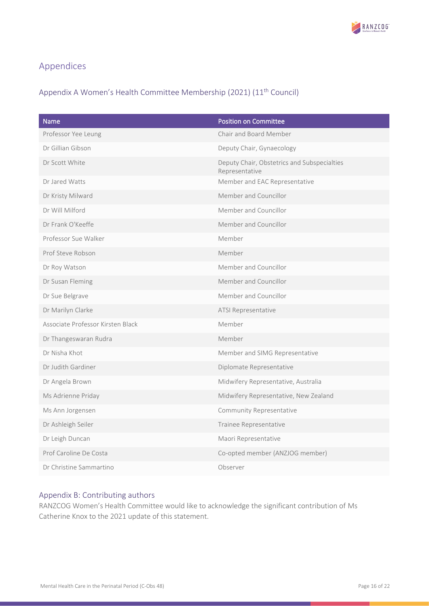

# <span id="page-15-0"></span>Appendices

# <span id="page-15-1"></span>Appendix A Women's Health Committee Membership (2021) (11th Council)

| Name                              | <b>Position on Committee</b>                                  |
|-----------------------------------|---------------------------------------------------------------|
| Professor Yee Leung               | Chair and Board Member                                        |
| Dr Gillian Gibson                 | Deputy Chair, Gynaecology                                     |
| Dr Scott White                    | Deputy Chair, Obstetrics and Subspecialties<br>Representative |
| Dr Jared Watts                    | Member and EAC Representative                                 |
| Dr Kristy Milward                 | Member and Councillor                                         |
| Dr Will Milford                   | Member and Councillor                                         |
| Dr Frank O'Keeffe                 | Member and Councillor                                         |
| Professor Sue Walker              | Member                                                        |
| Prof Steve Robson                 | Member                                                        |
| Dr Roy Watson                     | Member and Councillor                                         |
| Dr Susan Fleming                  | Member and Councillor                                         |
| Dr Sue Belgrave                   | Member and Councillor                                         |
| Dr Marilyn Clarke                 | ATSI Representative                                           |
| Associate Professor Kirsten Black | Member                                                        |
| Dr Thangeswaran Rudra             | Member                                                        |
| Dr Nisha Khot                     | Member and SIMG Representative                                |
| Dr Judith Gardiner                | Diplomate Representative                                      |
| Dr Angela Brown                   | Midwifery Representative, Australia                           |
| Ms Adrienne Priday                | Midwifery Representative, New Zealand                         |
| Ms Ann Jorgensen                  | Community Representative                                      |
| Dr Ashleigh Seiler                | Trainee Representative                                        |
| Dr Leigh Duncan                   | Maori Representative                                          |
| Prof Caroline De Costa            | Co-opted member (ANZJOG member)                               |
| Dr Christine Sammartino           | Observer                                                      |

#### <span id="page-15-2"></span>Appendix B: Contributing authors

RANZCOG Women's Health Committee would like to acknowledge the significant contribution of Ms Catherine Knox to the 2021 update of this statement.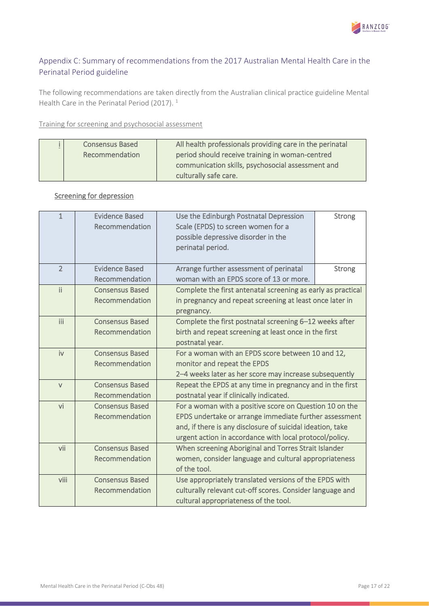

# <span id="page-16-0"></span>Appendix C: Summary of recommendations from the 2017 Australian Mental Health Care in the Perinatal Period guideline

The following recommendations are taken directly from the Australian clinical practice guideline Mental Health Care in the Perinatal Period (2017). <sup>1</sup>

#### Training for screening and psychosocial assessment

| <b>Consensus Based</b> | All health professionals providing care in the perinatal |
|------------------------|----------------------------------------------------------|
| Recommendation         | period should receive training in woman-centred          |
|                        | communication skills, psychosocial assessment and        |
|                        | culturally safe care.                                    |

### Screening for depression

| $\mathbf{1}$   | <b>Evidence Based</b><br>Recommendation | Use the Edinburgh Postnatal Depression<br>Scale (EPDS) to screen women for a<br>possible depressive disorder in the | <b>Strong</b> |
|----------------|-----------------------------------------|---------------------------------------------------------------------------------------------------------------------|---------------|
|                |                                         | perinatal period.                                                                                                   |               |
| $\overline{2}$ | <b>Evidence Based</b>                   | Arrange further assessment of perinatal                                                                             | <b>Strong</b> |
|                | Recommendation                          | woman with an EPDS score of 13 or more.                                                                             |               |
| $\mathbf{ii}$  | <b>Consensus Based</b>                  | Complete the first antenatal screening as early as practical                                                        |               |
|                | Recommendation                          | in pregnancy and repeat screening at least once later in<br>pregnancy.                                              |               |
| iii            | <b>Consensus Based</b>                  | Complete the first postnatal screening 6-12 weeks after                                                             |               |
|                | Recommendation                          | birth and repeat screening at least once in the first                                                               |               |
|                |                                         | postnatal year.                                                                                                     |               |
| iv             | <b>Consensus Based</b>                  | For a woman with an EPDS score between 10 and 12,                                                                   |               |
|                | Recommendation                          | monitor and repeat the EPDS                                                                                         |               |
|                |                                         | 2-4 weeks later as her score may increase subsequently                                                              |               |
| $\vee$         | <b>Consensus Based</b>                  | Repeat the EPDS at any time in pregnancy and in the first                                                           |               |
|                | Recommendation                          | postnatal year if clinically indicated.                                                                             |               |
| vi             | <b>Consensus Based</b>                  | For a woman with a positive score on Question 10 on the                                                             |               |
|                | Recommendation                          | EPDS undertake or arrange immediate further assessment                                                              |               |
|                |                                         | and, if there is any disclosure of suicidal ideation, take                                                          |               |
|                |                                         | urgent action in accordance with local protocol/policy.                                                             |               |
| vii            | <b>Consensus Based</b>                  | When screening Aboriginal and Torres Strait Islander                                                                |               |
|                | Recommendation                          | women, consider language and cultural appropriateness                                                               |               |
|                |                                         | of the tool.                                                                                                        |               |
| viii           | <b>Consensus Based</b>                  | Use appropriately translated versions of the EPDS with                                                              |               |
|                | Recommendation                          | culturally relevant cut-off scores. Consider language and                                                           |               |
|                |                                         | cultural appropriateness of the tool.                                                                               |               |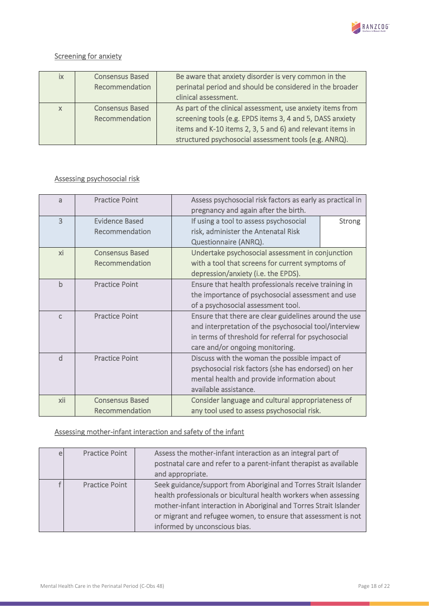

### Screening for anxiety

| ix       | <b>Consensus Based</b> | Be aware that anxiety disorder is very common in the       |
|----------|------------------------|------------------------------------------------------------|
|          | Recommendation         | perinatal period and should be considered in the broader   |
|          |                        | clinical assessment.                                       |
| $\times$ | <b>Consensus Based</b> | As part of the clinical assessment, use anxiety items from |
|          | Recommendation         | screening tools (e.g. EPDS items 3, 4 and 5, DASS anxiety  |
|          |                        | items and K-10 items 2, 3, 5 and 6) and relevant items in  |
|          |                        | structured psychosocial assessment tools (e.g. ANRQ).      |

### Assessing psychosocial risk

| a              | <b>Practice Point</b>  | Assess psychosocial risk factors as early as practical in |               |
|----------------|------------------------|-----------------------------------------------------------|---------------|
|                |                        | pregnancy and again after the birth.                      |               |
| $\overline{3}$ | <b>Evidence Based</b>  | If using a tool to assess psychosocial                    | <b>Strong</b> |
|                | Recommendation         | risk, administer the Antenatal Risk                       |               |
|                |                        | Questionnaire (ANRQ).                                     |               |
| xi             | <b>Consensus Based</b> | Undertake psychosocial assessment in conjunction          |               |
|                | Recommendation         | with a tool that screens for current symptoms of          |               |
|                |                        | depression/anxiety (i.e. the EPDS).                       |               |
| $\mathsf b$    | <b>Practice Point</b>  | Ensure that health professionals receive training in      |               |
|                |                        | the importance of psychosocial assessment and use         |               |
|                |                        | of a psychosocial assessment tool.                        |               |
| $\mathsf{C}$   | <b>Practice Point</b>  | Ensure that there are clear guidelines around the use     |               |
|                |                        | and interpretation of the psychosocial tool/interview     |               |
|                |                        | in terms of threshold for referral for psychosocial       |               |
|                |                        | care and/or ongoing monitoring.                           |               |
| $\mathsf{d}$   | <b>Practice Point</b>  | Discuss with the woman the possible impact of             |               |
|                |                        | psychosocial risk factors (she has endorsed) on her       |               |
|                |                        | mental health and provide information about               |               |
|                |                        | available assistance.                                     |               |
| xii            | <b>Consensus Based</b> | Consider language and cultural appropriateness of         |               |
|                | Recommendation         | any tool used to assess psychosocial risk.                |               |

### Assessing mother-infant interaction and safety of the infant

| e | <b>Practice Point</b> | Assess the mother-infant interaction as an integral part of<br>postnatal care and refer to a parent-infant therapist as available<br>and appropriate.                                                                                                                                                         |
|---|-----------------------|---------------------------------------------------------------------------------------------------------------------------------------------------------------------------------------------------------------------------------------------------------------------------------------------------------------|
|   | <b>Practice Point</b> | Seek guidance/support from Aboriginal and Torres Strait Islander<br>health professionals or bicultural health workers when assessing<br>mother-infant interaction in Aboriginal and Torres Strait Islander<br>or migrant and refugee women, to ensure that assessment is not<br>informed by unconscious bias. |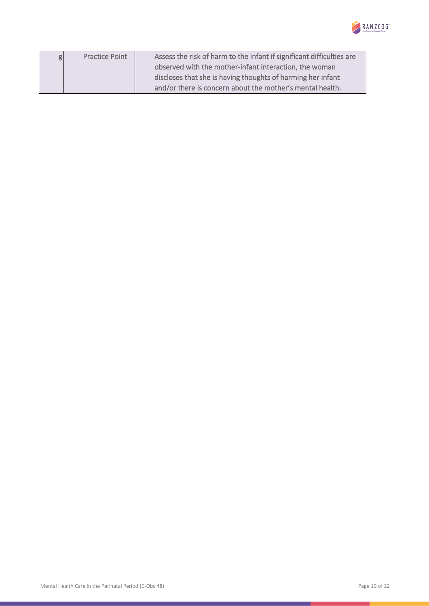

| g | <b>Practice Point</b> | Assess the risk of harm to the infant if significant difficulties are |
|---|-----------------------|-----------------------------------------------------------------------|
|   |                       | observed with the mother-infant interaction, the woman                |
|   |                       | discloses that she is having thoughts of harming her infant           |
|   |                       | and/or there is concern about the mother's mental health.             |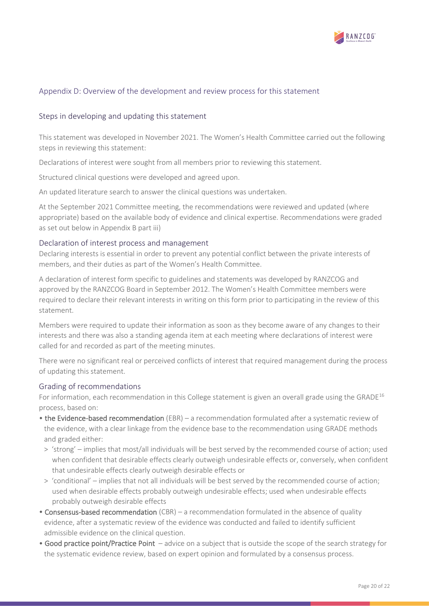

#### <span id="page-19-0"></span>Appendix D: Overview of the development and review process for this statement

#### <span id="page-19-1"></span>Steps in developing and updating this statement

This statement was developed in November 2021. The Women's Health Committee carried out the following steps in reviewing this statement:

Declarations of interest were sought from all members prior to reviewing this statement.

Structured clinical questions were developed and agreed upon.

An updated literature search to answer the clinical questions was undertaken.

At the September 2021 Committee meeting, the recommendations were reviewed and updated (where appropriate) based on the available body of evidence and clinical expertise. Recommendations were graded as set out below in Appendix B part iii)

#### <span id="page-19-2"></span>Declaration of interest process and management

Declaring interests is essential in order to prevent any potential conflict between the private interests of members, and their duties as part of the Women's Health Committee.

A declaration of interest form specific to guidelines and statements was developed by RANZCOG and approved by the RANZCOG Board in September 2012. The Women's Health Committee members were required to declare their relevant interests in writing on this form prior to participating in the review of this statement.

Members were required to update their information as soon as they become aware of any changes to their interests and there was also a standing agenda item at each meeting where declarations of interest were called for and recorded as part of the meeting minutes.

There were no significant real or perceived conflicts of interest that required management during the process of updating this statement.

#### <span id="page-19-3"></span>Grading of recommendations

For information, each recommendation in this College statement is given an overall grade using the GRADE<sup>[16](#page-10-14)</sup> process, based on:

- the Evidence-based recommendation (EBR) a recommendation formulated after a systematic review of the evidence, with a clear linkage from the evidence base to the recommendation using GRADE methods and graded either:
- > 'strong' implies that most/all individuals will be best served by the recommended course of action; used when confident that desirable effects clearly outweigh undesirable effects or, conversely, when confident that undesirable effects clearly outweigh desirable effects or
- > 'conditional' implies that not all individuals will be best served by the recommended course of action; used when desirable effects probably outweigh undesirable effects; used when undesirable effects probably outweigh desirable effects
- Consensus-based recommendation (CBR) a recommendation formulated in the absence of quality evidence, after a systematic review of the evidence was conducted and failed to identify sufficient admissible evidence on the clinical question.
- Good practice point/Practice Point advice on a subject that is outside the scope of the search strategy for the systematic evidence review, based on expert opinion and formulated by a consensus process.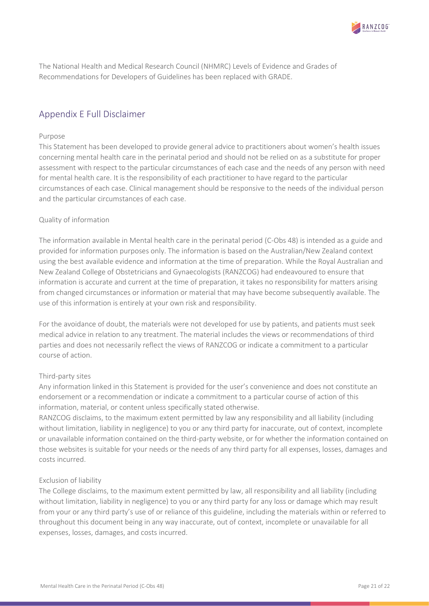

The National Health and Medical Research Council (NHMRC) Levels of Evidence and Grades of Recommendations for Developers of Guidelines has been replaced with GRADE.

# <span id="page-20-0"></span>Appendix E Full Disclaimer

#### Purpose

This Statement has been developed to provide general advice to practitioners about women's health issues concerning mental health care in the perinatal period and should not be relied on as a substitute for proper assessment with respect to the particular circumstances of each case and the needs of any person with need for mental health care. It is the responsibility of each practitioner to have regard to the particular circumstances of each case. Clinical management should be responsive to the needs of the individual person and the particular circumstances of each case.

#### Quality of information

The information available in Mental health care in the perinatal period (C-Obs 48) is intended as a guide and provided for information purposes only. The information is based on the Australian/New Zealand context using the best available evidence and information at the time of preparation. While the Royal Australian and New Zealand College of Obstetricians and Gynaecologists (RANZCOG) had endeavoured to ensure that information is accurate and current at the time of preparation, it takes no responsibility for matters arising from changed circumstances or information or material that may have become subsequently available. The use of this information is entirely at your own risk and responsibility.

For the avoidance of doubt, the materials were not developed for use by patients, and patients must seek medical advice in relation to any treatment. The material includes the views or recommendations of third parties and does not necessarily reflect the views of RANZCOG or indicate a commitment to a particular course of action.

#### Third-party sites

Any information linked in this Statement is provided for the user's convenience and does not constitute an endorsement or a recommendation or indicate a commitment to a particular course of action of this information, material, or content unless specifically stated otherwise.

RANZCOG disclaims, to the maximum extent permitted by law any responsibility and all liability (including without limitation, liability in negligence) to you or any third party for inaccurate, out of context, incomplete or unavailable information contained on the third-party website, or for whether the information contained on those websites is suitable for your needs or the needs of any third party for all expenses, losses, damages and costs incurred.

#### Exclusion of liability

The College disclaims, to the maximum extent permitted by law, all responsibility and all liability (including without limitation, liability in negligence) to you or any third party for any loss or damage which may result from your or any third party's use of or reliance of this guideline, including the materials within or referred to throughout this document being in any way inaccurate, out of context, incomplete or unavailable for all expenses, losses, damages, and costs incurred.